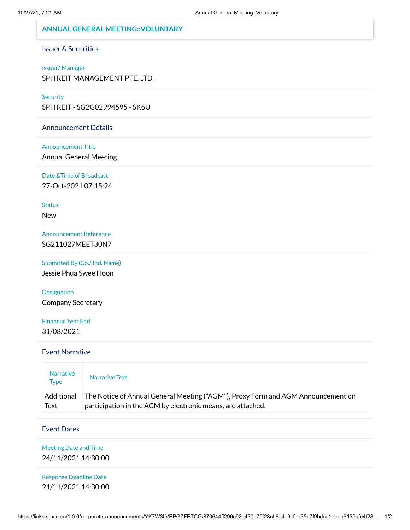### **ANNUAL GENERAL MEETING::VOLUNTARY**

### Issuer & Securities

#### Issuer/ Manager

SPH REIT MANAGEMENT PTE. LTD.

#### **Security**

SPH REIT - SG2G02994595 - SK6U

#### Announcement Details

#### Announcement Title

Annual General Meeting

Date &Time of Broadcast

27-Oct-2021 07:15:24

#### **Status**

New

Announcement Reference SG211027MEET30N7

Submitted By (Co./ Ind. Name)

Jessie Phua Swee Hoon

Designation Company Secretary

### Financial Year End 31/08/2021

#### Event Narrative

| <b>Narrative</b><br>Type | Narrative Text                                                                   |  |
|--------------------------|----------------------------------------------------------------------------------|--|
| Additional               | The Notice of Annual General Meeting ("AGM"), Proxy Form and AGM Announcement on |  |
| Text                     | participation in the AGM by electronic means, are attached.                      |  |

#### Event Dates

## Meeting Date and Time

24/11/2021 14:30:00

| <b>Response Deadline Date</b> |  |  |
|-------------------------------|--|--|
| 21/11/2021 14:30:00           |  |  |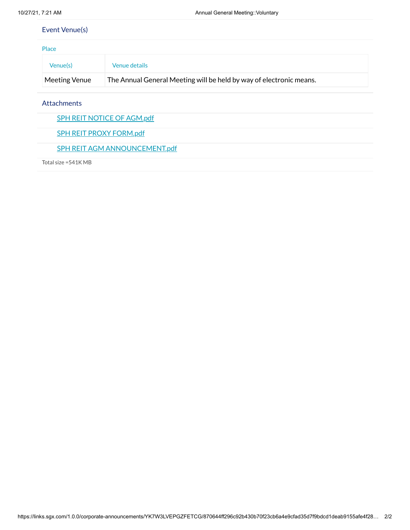## Event Venue(s)

| Place         |                                                                     |  |
|---------------|---------------------------------------------------------------------|--|
| Venue(s)      | Venue details                                                       |  |
| Meeting Venue | The Annual General Meeting will be held by way of electronic means. |  |

Attachments

SPH REIT NOTICE OF [AGM.pdf](https://links.sgx.com/1.0.0/corporate-announcements/YK7W3LVEPGZFETCG/688177_SPH%20REIT%20NOTICE%20OF%20AGM.pdf)

SPH REIT PROXY [FORM.pdf](https://links.sgx.com/1.0.0/corporate-announcements/YK7W3LVEPGZFETCG/688178_SPH%20REIT%20PROXY%20FORM.pdf)

SPH REIT AGM [ANNOUNCEMENT.pdf](https://links.sgx.com/1.0.0/corporate-announcements/YK7W3LVEPGZFETCG/688179_SPH%20REIT%20AGM%20ANNOUNCEMENT.pdf)

Total size =541K MB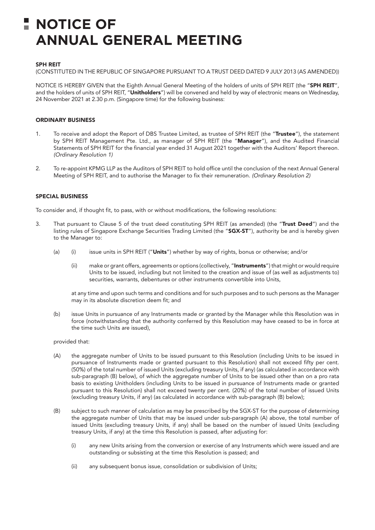# **NOTICE OF ANNUAL GENERAL MEETING**

#### SPH REIT

(CONSTITUTED IN THE REPUBLIC OF SINGAPORE PURSUANT TO A TRUST DEED DATED 9 JULY 2013 (AS AMENDED))

NOTICE IS HEREBY GIVEN that the Eighth Annual General Meeting of the holders of units of SPH REIT (the "SPH REIT", and the holders of units of SPH REIT, "Unitholders") will be convened and held by way of electronic means on Wednesday, 24 November 2021 at 2.30 p.m. (Singapore time) for the following business:

#### ORDINARY BUSINESS

- 1. To receive and adopt the Report of DBS Trustee Limited, as trustee of SPH REIT (the "Trustee"), the statement by SPH REIT Management Pte. Ltd., as manager of SPH REIT (the "Manager"), and the Audited Financial Statements of SPH REIT for the financial year ended 31 August 2021 together with the Auditors' Report thereon. *(Ordinary Resolution 1)*
- 2. To re-appoint KPMG LLP as the Auditors of SPH REIT to hold office until the conclusion of the next Annual General Meeting of SPH REIT, and to authorise the Manager to fix their remuneration. *(Ordinary Resolution 2)*

#### SPECIAL BUSINESS

To consider and, if thought fit, to pass, with or without modifications, the following resolutions:

- 3. That pursuant to Clause 5 of the trust deed constituting SPH REIT (as amended) (the "Trust Deed") and the listing rules of Singapore Exchange Securities Trading Limited (the "SGX-ST"), authority be and is hereby given to the Manager to:
	- (a) (i) issue units in SPH REIT ("Units") whether by way of rights, bonus or otherwise; and/or
		- (ii) make or grant offers, agreements or options (collectively, "Instruments") that might or would require Units to be issued, including but not limited to the creation and issue of (as well as adjustments to) securities, warrants, debentures or other instruments convertible into Units,

at any time and upon such terms and conditions and for such purposes and to such persons as the Manager may in its absolute discretion deem fit; and

(b) issue Units in pursuance of any Instruments made or granted by the Manager while this Resolution was in force (notwithstanding that the authority conferred by this Resolution may have ceased to be in force at the time such Units are issued),

#### provided that:

- (A) the aggregate number of Units to be issued pursuant to this Resolution (including Units to be issued in pursuance of Instruments made or granted pursuant to this Resolution) shall not exceed fifty per cent. (50%) of the total number of issued Units (excluding treasury Units, if any) (as calculated in accordance with sub-paragraph (B) below), of which the aggregate number of Units to be issued other than on a pro rata basis to existing Unitholders (including Units to be issued in pursuance of Instruments made or granted pursuant to this Resolution) shall not exceed twenty per cent. (20%) of the total number of issued Units (excluding treasury Units, if any) (as calculated in accordance with sub-paragraph (B) below);
- (B) subject to such manner of calculation as may be prescribed by the SGX-ST for the purpose of determining the aggregate number of Units that may be issued under sub-paragraph (A) above, the total number of issued Units (excluding treasury Units, if any) shall be based on the number of issued Units (excluding treasury Units, if any) at the time this Resolution is passed, after adjusting for:
	- (i) any new Units arising from the conversion or exercise of any Instruments which were issued and are outstanding or subsisting at the time this Resolution is passed; and
	- (ii) any subsequent bonus issue, consolidation or subdivision of Units;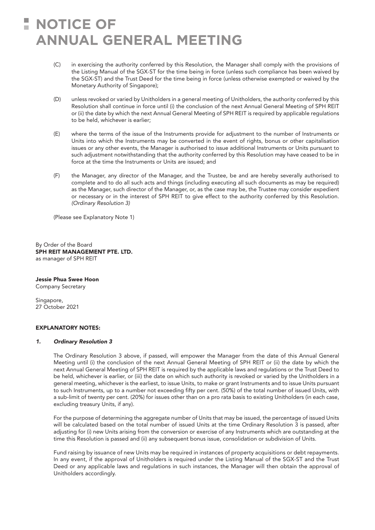# **NOTICE OF ANNUAL GENERAL MEETING**

- (C) in exercising the authority conferred by this Resolution, the Manager shall comply with the provisions of the Listing Manual of the SGX-ST for the time being in force (unless such compliance has been waived by the SGX-ST) and the Trust Deed for the time being in force (unless otherwise exempted or waived by the Monetary Authority of Singapore);
- (D) unless revoked or varied by Unitholders in a general meeting of Unitholders, the authority conferred by this Resolution shall continue in force until (i) the conclusion of the next Annual General Meeting of SPH REIT or (ii) the date by which the next Annual General Meeting of SPH REIT is required by applicable regulations to be held, whichever is earlier;
- (E) where the terms of the issue of the Instruments provide for adjustment to the number of Instruments or Units into which the Instruments may be converted in the event of rights, bonus or other capitalisation issues or any other events, the Manager is authorised to issue additional Instruments or Units pursuant to such adjustment notwithstanding that the authority conferred by this Resolution may have ceased to be in force at the time the Instruments or Units are issued; and
- (F) the Manager, any director of the Manager, and the Trustee, be and are hereby severally authorised to complete and to do all such acts and things (including executing all such documents as may be required) as the Manager, such director of the Manager, or, as the case may be, the Trustee may consider expedient or necessary or in the interest of SPH REIT to give effect to the authority conferred by this Resolution. *(Ordinary Resolution 3)*

(Please see Explanatory Note 1)

By Order of the Board SPH REIT MANAGEMENT PTE. LTD. as manager of SPH REIT

Jessie Phua Swee Hoon Company Secretary

Singapore, 27 October 2021

#### EXPLANATORY NOTES:

#### *1. Ordinary Resolution 3*

The Ordinary Resolution 3 above, if passed, will empower the Manager from the date of this Annual General Meeting until (i) the conclusion of the next Annual General Meeting of SPH REIT or (ii) the date by which the next Annual General Meeting of SPH REIT is required by the applicable laws and regulations or the Trust Deed to be held, whichever is earlier, or (iii) the date on which such authority is revoked or varied by the Unitholders in a general meeting, whichever is the earliest, to issue Units, to make or grant Instruments and to issue Units pursuant to such Instruments, up to a number not exceeding fifty per cent. (50%) of the total number of issued Units, with a sub-limit of twenty per cent. (20%) for issues other than on a pro rata basis to existing Unitholders (in each case, excluding treasury Units, if any).

For the purpose of determining the aggregate number of Units that may be issued, the percentage of issued Units will be calculated based on the total number of issued Units at the time Ordinary Resolution 3 is passed, after adjusting for (i) new Units arising from the conversion or exercise of any Instruments which are outstanding at the time this Resolution is passed and (ii) any subsequent bonus issue, consolidation or subdivision of Units.

Fund raising by issuance of new Units may be required in instances of property acquisitions or debt repayments. In any event, if the approval of Unitholders is required under the Listing Manual of the SGX-ST and the Trust Deed or any applicable laws and regulations in such instances, the Manager will then obtain the approval of Unitholders accordingly.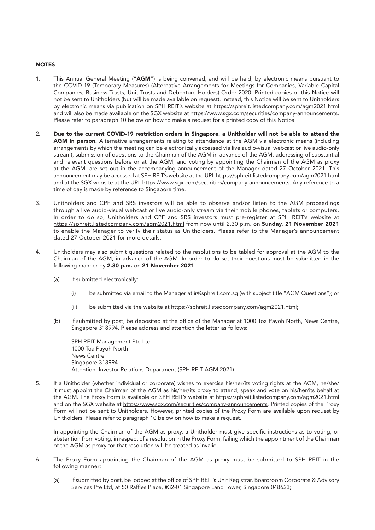#### **NOTES**

- 1. This Annual General Meeting ("AGM") is being convened, and will be held, by electronic means pursuant to the COVID-19 (Temporary Measures) (Alternative Arrangements for Meetings for Companies, Variable Capital Companies, Business Trusts, Unit Trusts and Debenture Holders) Order 2020. Printed copies of this Notice will not be sent to Unitholders (but will be made available on request). Instead, this Notice will be sent to Unitholders by electronic means via publication on SPH REIT's website at https://sphreit.listedcompany.com/agm2021.html and will also be made available on the SGX website at https://www.sqx.com/securities/company-announcements. Please refer to paragraph 10 below on how to make a request for a printed copy of this Notice.
- 2. Due to the current COVID-19 restriction orders in Singapore, a Unitholder will not be able to attend the AGM in person. Alternative arrangements relating to attendance at the AGM via electronic means (including arrangements by which the meeting can be electronically accessed via live audio-visual webcast or live audio-only stream), submission of questions to the Chairman of the AGM in advance of the AGM, addressing of substantial and relevant questions before or at the AGM, and voting by appointing the Chairman of the AGM as proxy at the AGM, are set out in the accompanying announcement of the Manager dated 27 October 2021. This announcement may be accessed at SPH REIT's website at the URL https://sphreit.listedcompany.com/agm2021.html and at the SGX website at the URL https://www.sqx.com/securities/company-announcements. Any reference to a time of day is made by reference to Singapore time.
- 3. Unitholders and CPF and SRS investors will be able to observe and/or listen to the AGM proceedings through a live audio-visual webcast or live audio-only stream via their mobile phones, tablets or computers. In order to do so, Unitholders and CPF and SRS investors must pre-register at SPH REIT's website at https://sphreit.listedcompany.com/agm2021.html from now until 2.30 p.m. on Sunday, 21 November 2021 to enable the Manager to verify their status as Unitholders. Please refer to the Manager's announcement dated 27 October 2021 for more details.
- 4. Unitholders may also submit questions related to the resolutions to be tabled for approval at the AGM to the Chairman of the AGM, in advance of the AGM. In order to do so, their questions must be submitted in the following manner by 2.30 p.m. on 21 November 2021:
	- (a) if submitted electronically:
		- (i) be submitted via email to the Manager at ir@sphreit.com.sg (with subject title "AGM Questions"); or
		- (ii) be submitted via the website at https://sphreit.listedcompany.com/agm2021.html;
	- (b) if submitted by post, be deposited at the office of the Manager at 1000 Toa Payoh North, News Centre, Singapore 318994. Please address and attention the letter as follows:

SPH REIT Management Pte Ltd 1000 Toa Payoh North News Centre Singapore 318994 Attention: Investor Relations Department (SPH REIT AGM 2021)

5. If a Unitholder (whether individual or corporate) wishes to exercise his/her/its voting rights at the AGM, he/she/ it must appoint the Chairman of the AGM as his/her/its proxy to attend, speak and vote on his/her/its behalf at the AGM. The Proxy Form is available on SPH REIT's website at https://sphreit.listedcompany.com/agm2021.html and on the SGX website at https://www.sgx.com/securities/company-announcements. Printed copies of the Proxy Form will not be sent to Unitholders. However, printed copies of the Proxy Form are available upon request by Unitholders. Please refer to paragraph 10 below on how to make a request.

In appointing the Chairman of the AGM as proxy, a Unitholder must give specific instructions as to voting, or abstention from voting, in respect of a resolution in the Proxy Form, failing which the appointment of the Chairman of the AGM as proxy for that resolution will be treated as invalid.

- 6. The Proxy Form appointing the Chairman of the AGM as proxy must be submitted to SPH REIT in the following manner:
	- (a) if submitted by post, be lodged at the office of SPH REIT's Unit Registrar, Boardroom Corporate & Advisory Services Pte Ltd, at 50 Raffles Place, #32-01 Singapore Land Tower, Singapore 048623;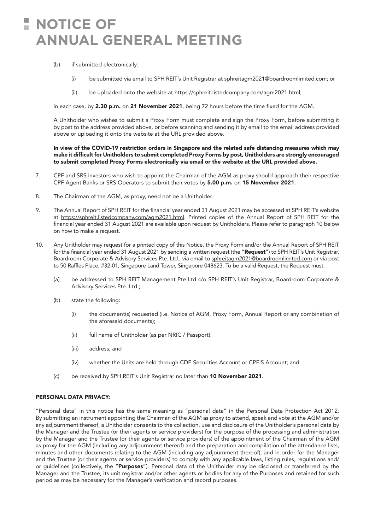# **NOTICE OF ANNUAL GENERAL MEETING**

- (b) if submitted electronically:
	- (i) be submitted via email to SPH REIT's Unit Registrar at sphreitagm2021@boardroomlimited.com; or
	- (ii) be uploaded onto the website at https://sphreit.listedcompany.com/agm2021.html,

in each case, by 2.30 p.m. on 21 November 2021, being 72 hours before the time fixed for the AGM.

A Unitholder who wishes to submit a Proxy Form must complete and sign the Proxy Form, before submitting it by post to the address provided above, or before scanning and sending it by email to the email address provided above or uploading it onto the website at the URL provided above.

In view of the COVID-19 restriction orders in Singapore and the related safe distancing measures which may make it difficult for Unitholders to submit completed Proxy Forms by post, Unitholders are strongly encouraged to submit completed Proxy Forms electronically via email or the website at the URL provided above.

- 7. CPF and SRS investors who wish to appoint the Chairman of the AGM as proxy should approach their respective CPF Agent Banks or SRS Operators to submit their votes by 5.00 p.m. on 15 November 2021.
- 8. The Chairman of the AGM, as proxy, need not be a Unitholder.
- 9. The Annual Report of SPH REIT for the financial year ended 31 August 2021 may be accessed at SPH REIT's website at https://sphreit.listedcompany.com/agm2021.html. Printed copies of the Annual Report of SPH REIT for the financial year ended 31 August 2021 are available upon request by Unitholders. Please refer to paragraph 10 below on how to make a request.
- 10. Any Unitholder may request for a printed copy of this Notice, the Proxy Form and/or the Annual Report of SPH REIT for the financial year ended 31 August 2021 by sending a written request (the "Request") to SPH REIT's Unit Registrar, Boardroom Corporate & Advisory Services Pte. Ltd., via email to sphreitagm2021@boardroomlimited.com or via post to 50 Raffles Place, #32-01, Singapore Land Tower, Singapore 048623. To be a valid Request, the Request must:
	- (a) be addressed to SPH REIT Management Pte Ltd c/o SPH REIT's Unit Registrar, Boardroom Corporate & Advisory Services Pte. Ltd.;
	- (b) state the following:
		- (i) the document(s) requested (i.e. Notice of AGM, Proxy Form, Annual Report or any combination of the aforesaid documents);
		- (ii) full name of Unitholder (as per NRIC / Passport);
		- (iii) address; and
		- (iv) whether the Units are held through CDP Securities Account or CPFIS Account; and
	- (c) be received by SPH REIT's Unit Registrar no later than 10 November 2021.

#### PERSONAL DATA PRIVACY:

"Personal data" in this notice has the same meaning as "personal data" in the Personal Data Protection Act 2012. By submitting an instrument appointing the Chairman of the AGM as proxy to attend, speak and vote at the AGM and/or any adjournment thereof, a Unitholder consents to the collection, use and disclosure of the Unitholder's personal data by the Manager and the Trustee (or their agents or service providers) for the purpose of the processing and administration by the Manager and the Trustee (or their agents or service providers) of the appointment of the Chairman of the AGM as proxy for the AGM (including any adjournment thereof) and the preparation and compilation of the attendance lists, minutes and other documents relating to the AGM (including any adjournment thereof), and in order for the Manager and the Trustee (or their agents or service providers) to comply with any applicable laws, listing rules, regulations and/ or guidelines (collectively, the "Purposes"). Personal data of the Unitholder may be disclosed or transferred by the Manager and the Trustee, its unit registrar and/or other agents or bodies for any of the Purposes and retained for such period as may be necessary for the Manager's verification and record purposes.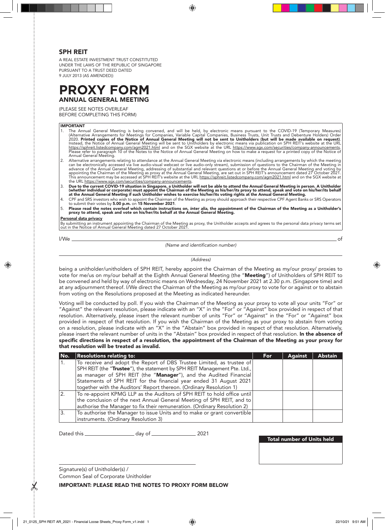#### SPH REIT

A REAL ESTATE INVESTMENT TRUST CONSTITUTED UNDER THE LAWS OF THE REPUBLIC OF SINGAPORE PURSUANT TO A TRUST DEED DATED 9 JULY 2013 (AS AMENDED))

# **PROXY FORM** ANNUAL GENERAL MEETING

(PLEASE SEE NOTES OVERLEAF

BEFORE COMPLETING THIS FORM)

#### IMPORTANT

- 1. The Annual General Meeting is being convened, and will be held, by electronic means pursuant to the COVID-19 (Temporary Measures)<br>(Alternative Arrangements for Meetings for Companies, Variable Capital Companies, Busines <u>https://sphreit.listedcompany.com/agm2021.html</u> and on the SGX website at the URL <u>https://www.sgx.com/securities/company-announcements</u>.<br>Please refer to paragraph 10 of the Notes to the Notice of Annual General Meeting o Please refer to paragraph 10 of the Notes to the Notice of Annual General Meeting on how to make a request for a printed copy of the Notice of<br>Annual General Meeting.
- 2. Alternative arrangements relating to attendance at the Annual General Meeting via electronic means (including arrangements by which the meeting can be electronically accessed via live audio-visual webcast or live audio-only stream), submission of questions to the Chairman of the Meeting in<br>advance of the Annual General Meeting, addressing of substantial and releva
- 3. Due to the current COVID-19 situation in Singapore, a Unitholder will not be able to attend the Annual General Meeting in person. A Unitholder (whether individual or corporate) must appoint the Chairman of the Meeting as his/her/its proxy to attend, speak and vote on his/her/its behalf<br>at the Annual General Meeting if such Unitholder wishes to exercise his/her/it
- 4. CPF and SRS investors who wish to appoint the Chairman of the Meeting as proxy should approach their respective CPF Agent Banks or SRS Operators<br>to submit their votes by **5.00 p.m.** on **15 November 2021**.
- 5. Please read the notes overleaf which contain instructions on, *inter alia*, the appointment of the Chairman of the Meeting as a Unitholder's<br>proxy to attend, speak and vote on his/her/its behalf at the Annual General Me

#### Personal data privacy

By submitting an instrument appointing the Chairman of the Meeting as proxy, the Unitholder accepts and agrees to the personal data privacy terms set out in the Notice of Annual General Meeting dated 27 October 2021.

l/We of

*(Name and identification number)*

*(Address)*

being a unitholder/unitholders of SPH REIT, hereby appoint the Chairman of the Meeting as my/our proxy/ proxies to vote for me/us on my/our behalf at the Eighth Annual General Meeting (the "Meeting") of Unitholders of SPH REIT to be convened and held by way of electronic means on Wednesday, 24 November 2021 at 2.30 p.m. (Singapore time) and at any adjournment thereof. I/We direct the Chairman of the Meeting as my/our proxy to vote for or against or to abstain from voting on the Resolutions proposed at the Meeting as indicated hereunder.

Voting will be conducted by poll. If you wish the Chairman of the Meeting as your proxy to vote all your units "For" or "Against" the relevant resolution, please indicate with an "X" in the "For" or "Against" box provided in respect of that resolution. Alternatively, please insert the relevant number of units "For" or "Against" in the "For" or "Against" box provided in respect of that resolution. If you wish the Chairman of the Meeting as your proxy to abstain from voting on a resolution, please indicate with an "X" in the "Abstain" box provided in respect of that resolution. Alternatively, please insert the relevant number of units in the "Abstain" box provided in respect of that resolution. In the absence of specific directions in respect of a resolution, the appointment of the Chairman of the Meeting as your proxy for that resolution will be treated as invalid.

| No.           | Resolutions relating to:                                                  | <b>For</b> | <b>Against</b> | <b>Abstain</b> |
|---------------|---------------------------------------------------------------------------|------------|----------------|----------------|
|               | To receive and adopt the Report of DBS Trustee Limited, as trustee of     |            |                |                |
|               | SPH REIT (the "Trustee"), the statement by SPH REIT Management Pte. Ltd., |            |                |                |
|               | as manager of SPH REIT (the "Manager"), and the Audited Financial         |            |                |                |
|               | Statements of SPH REIT for the financial year ended 31 August 2021        |            |                |                |
|               | together with the Auditors' Report thereon. (Ordinary Resolution 1)       |            |                |                |
| <sup>2.</sup> | To re-appoint KPMG LLP as the Auditors of SPH REIT to hold office until   |            |                |                |
|               | the conclusion of the next Annual General Meeting of SPH REIT, and to     |            |                |                |
|               | authorise the Manager to fix their remuneration. (Ordinary Resolution 2)  |            |                |                |
| 3.            | To authorise the Manager to issue Units and to make or grant convertible  |            |                |                |
|               | instruments. (Ordinary Resolution 3)                                      |            |                |                |

Dated this \_\_\_\_\_\_\_\_\_\_\_\_\_\_\_\_\_\_\_\_\_\_\_ day of \_\_\_\_\_\_\_\_\_\_\_\_\_\_\_\_\_\_\_\_\_ 2021

Total number of Units held

Signature(s) of Unitholder(s) / Common Seal of Corporate Unitholder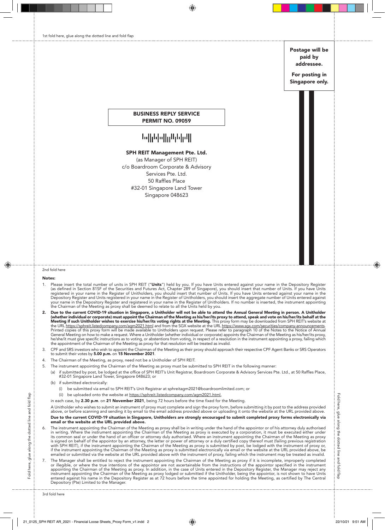Postage will be paid by addressee.

For posting in Singapore only.

#### BUSINESS REPLY SERVICE PERMIT NO. 09059

# ||ابراباراارر||برابارابا

#### SPH REIT Management Pte. Ltd.

(as Manager of SPH REIT) c/o Boardroom Corporate & Advisory Services Pte. Ltd. 50 Raffles Place #32-01 Singapore Land Tower Singapore 048623

#### 2nd fold here

#### Notes:

- 1. Please insert the total number of units in SPH REIT ("**Units**") held by you. If you have Units entered against your name in the Depository Register<br>as defined in Section 81SF of the Securities and Futures Act, Chapter 2 Depository Register and Units registered in your name in the Register of Unitholders, you should insert the aggregate number of Units entered against<br>your name in the Depository Register and registered in your name in the
- 2. Due to the current COVID-19 situation in Singapore, a Unitholder will not be able to attend the Annual General Meeting in person. A Unitholder (whether individual or corporate) must appoint the Chairman of the Meeting General Meeting on how to make a request. Where a Unitholder (whether individual or corporate) appoints the Chairman of the Meeting as his/her/its proxy,<br>he/she/it must give specific instructions as to voting, or abstentio
- 3. CPF and SRS investors who wish to appoint the Chairman of the Meeting as their proxy should approach their respective CPF Agent Banks or SRS Operators to submit their votes by 5.00 p.m. on 15 November 2021.
- 4. The Chairman of the Meeting, as proxy, need not be a Unitholder of SPH REIT.
- 5. The instrument appointing the Chairman of the Meeting as proxy must be submitted to SPH REIT in the following manner:
	- (a) if submitted by post, be lodged at the office of SPH REIT's Unit Registrar, Boardroom Corporate & Advisory Services Pte. Ltd., at 50 Raffles Place, #32-01 Singapore Land Tower, Singapore 048623; or
	- (b) if submitted electronically:
		- (i) be submitted via email to SPH REIT's Unit Registrar at sphreitagm2021@boardroomlimited.com; or
		- (ii) be uploaded onto the website at https://sphreit.listedcompany.com/agm2021.html
	- in each case, by 2.30 p.m. on 21 November 2021, being 72 hours before the time fixed for the Meeting.

A Unitholder who wishes to submit an instrument of proxy must complete and sign the proxy form, before submitting it by post to the address provided above, or before scanning and sending it by email to the email address provided above or uploading it onto the website at the URL provided above. Due to the current COVID-19 situation in Singapore, Unitholders are strongly encouraged to submit completed proxy forms electronically via email or the website at the URL provided above.

- The instrument appointing the Chairman of the Meeting as proxy shall be in writing under the hand of the appointor or of his attorney duly authorised in writing. Where the instrument appointing the Chairman of the Meeting as proxy is executed by a corporation, it must be executed either under<br>its common seal or under the hand of an officer or attorney duly authorised. W
- 7. The Manager shall be entitled to reject the instrument appointing the Chairman of the Meeting as proxy if it is incomplete, improperly completed<br>or illegible, or where the true intentions of the appointor are not ascert appointing the Chairman of the Meeting as proxy. In addition, in the case of Units entered in the Depository Register, the Manager may reject any<br>instrument appointing the Chairman of the Meeting as proxy lodged or submitt Depository (Pte) Limited to the Manager.

Fold here, glue along the dotted line and fold flap

-old here, glue along the dotted line and fold flap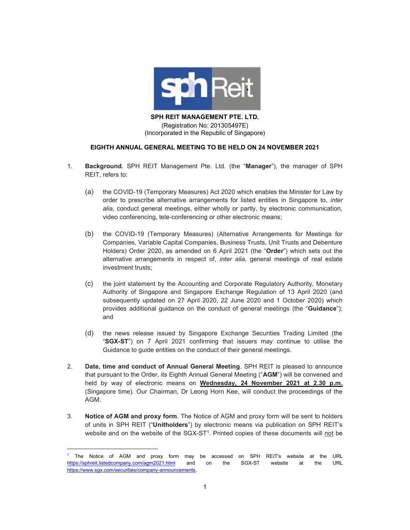

SPH REIT MANAGEMENT PTE. LTD.

(Registration No: 201305497E) (Incorporated in the Republic of Singapore)

#### EIGHTH ANNUAL GENERAL MEETING TO BE HELD ON 24 NOVEMBER 2021

- 1. Background. SPH REIT Management Pte. Ltd. (the "Manager"), the manager of SPH REIT, refers to:
	- (a) the COVID-19 (Temporary Measures) Act 2020 which enables the Minister for Law by order to prescribe alternative arrangements for listed entities in Singapore to, inter alia, conduct general meetings, either wholly or partly, by electronic communication, video conferencing, tele-conferencing or other electronic means;
	- (b) the COVID-19 (Temporary Measures) (Alternative Arrangements for Meetings for Companies, Variable Capital Companies, Business Trusts, Unit Trusts and Debenture Holders) Order 2020, as amended on 6 April 2021 (the "Order") which sets out the alternative arrangements in respect of, inter alia, general meetings of real estate investment trusts;
	- (c) the joint statement by the Accounting and Corporate Regulatory Authority, Monetary Authority of Singapore and Singapore Exchange Regulation of 13 April 2020 (and subsequently updated on 27 April 2020, 22 June 2020 and 1 October 2020) which provides additional guidance on the conduct of general meetings (the "Guidance"); and
	- (d) the news release issued by Singapore Exchange Securities Trading Limited (the "SGX-ST") on 7 April 2021 confirming that issuers may continue to utilise the Guidance to guide entities on the conduct of their general meetings.
- 2. Date, time and conduct of Annual General Meeting. SPH REIT is pleased to announce that pursuant to the Order, its Eighth Annual General Meeting ("AGM") will be convened and held by way of electronic means on Wednesday, 24 November 2021 at 2.30 p.m. (Singapore time). Our Chairman, Dr Leong Horn Kee, will conduct the proceedings of the AGM.
- 3. Notice of AGM and proxy form. The Notice of AGM and proxy form will be sent to holders of units in SPH REIT ("Unitholders") by electronic means via publication on SPH REIT's website and on the website of the SGX-ST<sup>1</sup>. Printed copies of these documents will not be

<sup>1</sup> The Notice of AGM and proxy form may be accessed on SPH REIT's website at the URL https://sphreit.listedcompany.com/agm2021.html and on the SGX-ST website at the URL https://www.sgx.com/securities/company-announcements.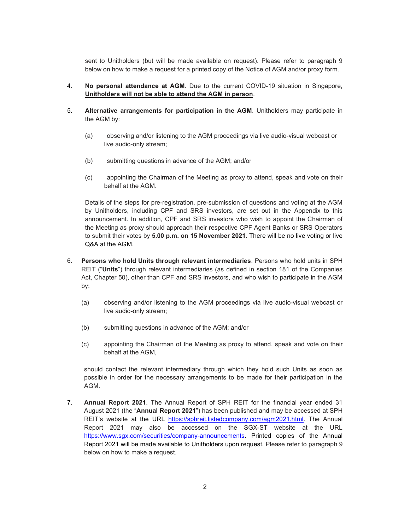sent to Unitholders (but will be made available on request). Please refer to paragraph 9 below on how to make a request for a printed copy of the Notice of AGM and/or proxy form.

- 4. No personal attendance at AGM. Due to the current COVID-19 situation in Singapore, Unitholders will not be able to attend the AGM in person.
- 5. Alternative arrangements for participation in the AGM. Unitholders may participate in the AGM by:
	- (a) observing and/or listening to the AGM proceedings via live audio-visual webcast or live audio-only stream;
	- (b) submitting questions in advance of the AGM; and/or
	- (c) appointing the Chairman of the Meeting as proxy to attend, speak and vote on their behalf at the AGM.

Details of the steps for pre-registration, pre-submission of questions and voting at the AGM by Unitholders, including CPF and SRS investors, are set out in the Appendix to this announcement. In addition, CPF and SRS investors who wish to appoint the Chairman of the Meeting as proxy should approach their respective CPF Agent Banks or SRS Operators to submit their votes by 5.00 p.m. on 15 November 2021. There will be no live voting or live Q&A at the AGM.

- 6. Persons who hold Units through relevant intermediaries. Persons who hold units in SPH REIT ("Units") through relevant intermediaries (as defined in section 181 of the Companies Act, Chapter 50), other than CPF and SRS investors, and who wish to participate in the AGM by:
	- (a) observing and/or listening to the AGM proceedings via live audio-visual webcast or live audio-only stream;
	- (b) submitting questions in advance of the AGM; and/or
	- (c) appointing the Chairman of the Meeting as proxy to attend, speak and vote on their behalf at the AGM,

should contact the relevant intermediary through which they hold such Units as soon as possible in order for the necessary arrangements to be made for their participation in the AGM.

7. Annual Report 2021. The Annual Report of SPH REIT for the financial year ended 31 August 2021 (the "Annual Report 2021") has been published and may be accessed at SPH REIT's website at the URL https://sphreit.listedcompany.com/agm2021.html. The Annual Report 2021 may also be accessed on the SGX-ST website at the URL https://www.sgx.com/securities/company-announcements. Printed copies of the Annual Report 2021 will be made available to Unitholders upon request. Please refer to paragraph 9 below on how to make a request.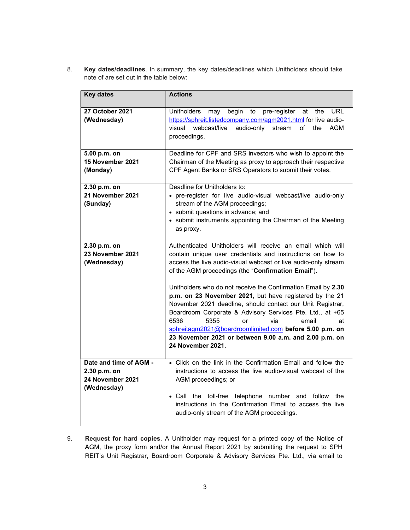8. Key dates/deadlines. In summary, the key dates/deadlines which Unitholders should take note of are set out in the table below:

| <b>Key dates</b>                                                                                                                                                                                                                       | <b>Actions</b>                                                                                                                                                                                                                                                                                                                                                                                                                                                                                                                                                                                                                                                                                |
|----------------------------------------------------------------------------------------------------------------------------------------------------------------------------------------------------------------------------------------|-----------------------------------------------------------------------------------------------------------------------------------------------------------------------------------------------------------------------------------------------------------------------------------------------------------------------------------------------------------------------------------------------------------------------------------------------------------------------------------------------------------------------------------------------------------------------------------------------------------------------------------------------------------------------------------------------|
| <b>27 October 2021</b><br>(Wednesday)                                                                                                                                                                                                  | <b>Unitholders</b><br>begin<br>pre-register<br><b>URL</b><br>may<br>to<br>the<br>at<br>https://sphreit.listedcompany.com/agm2021.html for live audio-<br>visual<br>webcast/live<br>audio-only<br>of<br><b>AGM</b><br>stream<br>the<br>proceedings.                                                                                                                                                                                                                                                                                                                                                                                                                                            |
| Deadline for CPF and SRS investors who wish to appoint the<br>5.00 p.m. on<br>15 November 2021<br>Chairman of the Meeting as proxy to approach their respective<br>CPF Agent Banks or SRS Operators to submit their votes.<br>(Monday) |                                                                                                                                                                                                                                                                                                                                                                                                                                                                                                                                                                                                                                                                                               |
| 2.30 p.m. on<br>21 November 2021<br>(Sunday)                                                                                                                                                                                           | Deadline for Unitholders to:<br>• pre-register for live audio-visual webcast/live audio-only<br>stream of the AGM proceedings;<br>• submit questions in advance; and<br>• submit instruments appointing the Chairman of the Meeting<br>as proxy.                                                                                                                                                                                                                                                                                                                                                                                                                                              |
| 2.30 p.m. on<br>23 November 2021<br>(Wednesday)                                                                                                                                                                                        | Authenticated Unitholders will receive an email which will<br>contain unique user credentials and instructions on how to<br>access the live audio-visual webcast or live audio-only stream<br>of the AGM proceedings (the "Confirmation Email").<br>Unitholders who do not receive the Confirmation Email by 2.30<br>p.m. on 23 November 2021, but have registered by the 21<br>November 2021 deadline, should contact our Unit Registrar,<br>Boardroom Corporate & Advisory Services Pte. Ltd., at +65<br>6536<br>5355<br>via<br>or<br>email<br>at<br>sphreitagm2021@boardroomlimited.com before 5.00 p.m. on<br>23 November 2021 or between 9.00 a.m. and 2.00 p.m. on<br>24 November 2021. |
| Date and time of AGM -<br>2.30 p.m. on<br>24 November 2021<br>(Wednesday)                                                                                                                                                              | • Click on the link in the Confirmation Email and follow the<br>instructions to access the live audio-visual webcast of the<br>AGM proceedings; or<br>• Call the toll-free telephone number<br>and follow<br>the<br>instructions in the Confirmation Email to access the live<br>audio-only stream of the AGM proceedings.                                                                                                                                                                                                                                                                                                                                                                    |

9. Request for hard copies. A Unitholder may request for a printed copy of the Notice of AGM, the proxy form and/or the Annual Report 2021 by submitting the request to SPH REIT's Unit Registrar, Boardroom Corporate & Advisory Services Pte. Ltd., via email to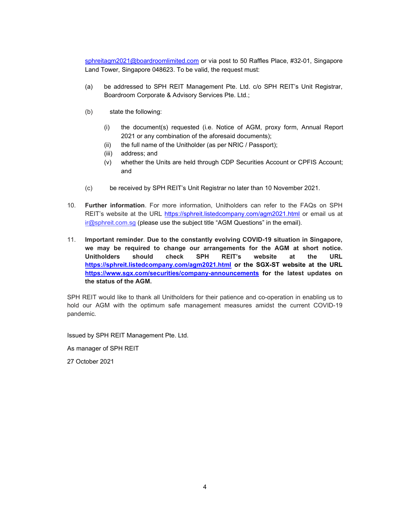sphreitagm2021@boardroomlimited.com or via post to 50 Raffles Place, #32-01, Singapore Land Tower, Singapore 048623. To be valid, the request must:

- (a) be addressed to SPH REIT Management Pte. Ltd. c/o SPH REIT's Unit Registrar, Boardroom Corporate & Advisory Services Pte. Ltd.;
- (b) state the following:
	- (i) the document(s) requested (i.e. Notice of AGM, proxy form, Annual Report 2021 or any combination of the aforesaid documents);
	- (ii) the full name of the Unitholder (as per NRIC / Passport);
	- (iii) address; and
	- (v) whether the Units are held through CDP Securities Account or CPFIS Account; and
- (c) be received by SPH REIT's Unit Registrar no later than 10 November 2021.
- 10. Further information. For more information, Unitholders can refer to the FAQs on SPH REIT's website at the URL https://sphreit.listedcompany.com/agm2021.html or email us at ir@sphreit.com.sg (please use the subject title "AGM Questions" in the email).
- 11. Important reminder. Due to the constantly evolving COVID-19 situation in Singapore, we may be required to change our arrangements for the AGM at short notice. Unitholders should check SPH REIT's website at the URL https://sphreit.listedcompany.com/agm2021.html or the SGX-ST website at the URL https://www.sgx.com/securities/company-announcements for the latest updates on the status of the AGM.

SPH REIT would like to thank all Unitholders for their patience and co-operation in enabling us to hold our AGM with the optimum safe management measures amidst the current COVID-19 pandemic.

Issued by SPH REIT Management Pte. Ltd.

As manager of SPH REIT

27 October 2021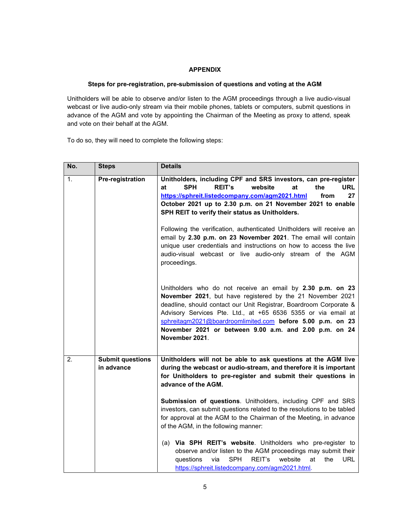#### **APPENDIX**

#### Steps for pre-registration, pre-submission of questions and voting at the AGM

Unitholders will be able to observe and/or listen to the AGM proceedings through a live audio-visual webcast or live audio-only stream via their mobile phones, tablets or computers, submit questions in advance of the AGM and vote by appointing the Chairman of the Meeting as proxy to attend, speak and vote on their behalf at the AGM.

To do so, they will need to complete the following steps:

| No.            | <b>Steps</b>                          | <b>Details</b>                                                                                                                                                                                                                                                                                                                                                                                            |
|----------------|---------------------------------------|-----------------------------------------------------------------------------------------------------------------------------------------------------------------------------------------------------------------------------------------------------------------------------------------------------------------------------------------------------------------------------------------------------------|
| $\mathbf{1}$ . | Pre-registration                      | Unitholders, including CPF and SRS investors, can pre-register<br><b>REIT's</b><br>SPH<br>website<br>at<br>the<br>URL<br>at<br>https://sphreit.listedcompany.com/agm2021.html<br>27<br>from<br>October 2021 up to 2.30 p.m. on 21 November 2021 to enable<br>SPH REIT to verify their status as Unitholders.                                                                                              |
|                |                                       | Following the verification, authenticated Unitholders will receive an<br>email by 2.30 p.m. on 23 November 2021. The email will contain<br>unique user credentials and instructions on how to access the live<br>audio-visual webcast or live audio-only stream of the AGM<br>proceedings.                                                                                                                |
|                |                                       | Unitholders who do not receive an email by 2.30 p.m. on 23<br>November 2021, but have registered by the 21 November 2021<br>deadline, should contact our Unit Registrar, Boardroom Corporate &<br>Advisory Services Pte. Ltd., at +65 6536 5355 or via email at<br>sphreitagm2021@boardroomlimited.com before 5.00 p.m. on 23<br>November 2021 or between 9.00 a.m. and 2.00 p.m. on 24<br>November 2021. |
| 2.             | <b>Submit questions</b><br>in advance | Unitholders will not be able to ask questions at the AGM live<br>during the webcast or audio-stream, and therefore it is important<br>for Unitholders to pre-register and submit their questions in<br>advance of the AGM.                                                                                                                                                                                |
|                |                                       | Submission of questions. Unitholders, including CPF and SRS<br>investors, can submit questions related to the resolutions to be tabled<br>for approval at the AGM to the Chairman of the Meeting, in advance<br>of the AGM, in the following manner:                                                                                                                                                      |
|                |                                       | (a) Via SPH REIT's website. Unitholders who pre-register to<br>observe and/or listen to the AGM proceedings may submit their<br>via<br>SPH<br>REIT's<br>website<br>at<br><b>URL</b><br>questions<br>the<br>https://sphreit.listedcompany.com/agm2021.html.                                                                                                                                                |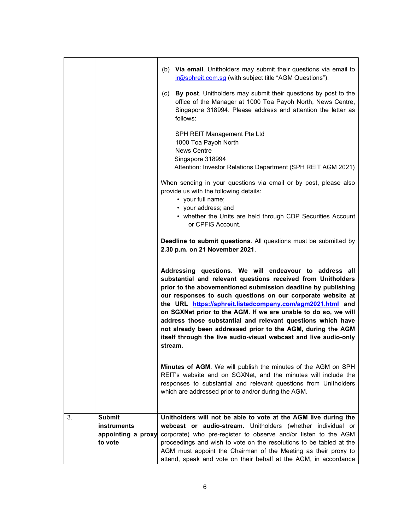|  | (b) Via email. Unitholders may submit their questions via email to<br>ir@sphreit.com.sg (with subject title "AGM Questions").                                                                                                                                                                                                                                                                                                                                                                                                                                                                       |
|--|-----------------------------------------------------------------------------------------------------------------------------------------------------------------------------------------------------------------------------------------------------------------------------------------------------------------------------------------------------------------------------------------------------------------------------------------------------------------------------------------------------------------------------------------------------------------------------------------------------|
|  | (c) By post. Unitholders may submit their questions by post to the<br>office of the Manager at 1000 Toa Payoh North, News Centre,<br>Singapore 318994. Please address and attention the letter as<br>follows:                                                                                                                                                                                                                                                                                                                                                                                       |
|  | SPH REIT Management Pte Ltd<br>1000 Toa Payoh North<br><b>News Centre</b><br>Singapore 318994<br>Attention: Investor Relations Department (SPH REIT AGM 2021)                                                                                                                                                                                                                                                                                                                                                                                                                                       |
|  | When sending in your questions via email or by post, please also<br>provide us with the following details:<br>• your full name;<br>• your address; and<br>• whether the Units are held through CDP Securities Account                                                                                                                                                                                                                                                                                                                                                                               |
|  | or CPFIS Account.<br><b>Deadline to submit questions.</b> All questions must be submitted by<br>2.30 p.m. on 21 November 2021.                                                                                                                                                                                                                                                                                                                                                                                                                                                                      |
|  |                                                                                                                                                                                                                                                                                                                                                                                                                                                                                                                                                                                                     |
|  | Addressing questions. We will endeavour to address all<br>substantial and relevant questions received from Unitholders<br>prior to the abovementioned submission deadline by publishing<br>our responses to such questions on our corporate website at<br>the URL https://sphreit.listedcompany.com/agm2021.html and<br>on SGXNet prior to the AGM. If we are unable to do so, we will<br>address those substantial and relevant questions which have<br>not already been addressed prior to the AGM, during the AGM<br>itself through the live audio-visual webcast and live audio-only<br>stream. |
|  | <b>Minutes of AGM.</b> We will publish the minutes of the AGM on SPH<br>REIT's website and on SGXNet, and the minutes will include the<br>responses to substantial and relevant questions from Unitholders<br>which are addressed prior to and/or during the AGM.                                                                                                                                                                                                                                                                                                                                   |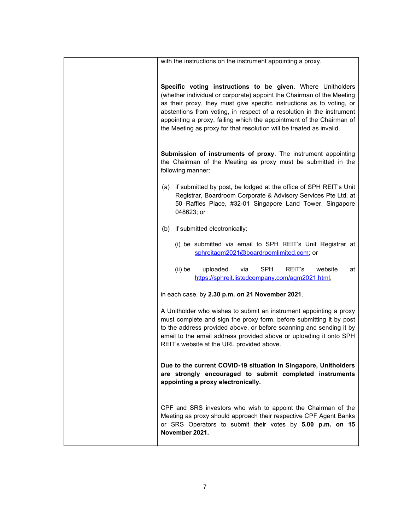| with the instructions on the instrument appointing a proxy.                                                                                                                                                                                                                                                                                                                                                                            |
|----------------------------------------------------------------------------------------------------------------------------------------------------------------------------------------------------------------------------------------------------------------------------------------------------------------------------------------------------------------------------------------------------------------------------------------|
|                                                                                                                                                                                                                                                                                                                                                                                                                                        |
| Specific voting instructions to be given. Where Unitholders<br>(whether individual or corporate) appoint the Chairman of the Meeting<br>as their proxy, they must give specific instructions as to voting, or<br>abstentions from voting, in respect of a resolution in the instrument<br>appointing a proxy, failing which the appointment of the Chairman of<br>the Meeting as proxy for that resolution will be treated as invalid. |
| Submission of instruments of proxy. The instrument appointing<br>the Chairman of the Meeting as proxy must be submitted in the<br>following manner:                                                                                                                                                                                                                                                                                    |
| (a) if submitted by post, be lodged at the office of SPH REIT's Unit<br>Registrar, Boardroom Corporate & Advisory Services Pte Ltd, at<br>50 Raffles Place, #32-01 Singapore Land Tower, Singapore<br>048623; or                                                                                                                                                                                                                       |
| if submitted electronically:<br>(b)                                                                                                                                                                                                                                                                                                                                                                                                    |
| (i) be submitted via email to SPH REIT's Unit Registrar at<br>sphreitagm2021@boardroomlimited.com; or                                                                                                                                                                                                                                                                                                                                  |
| <b>SPH</b><br>$(ii)$ be<br>uploaded<br>REIT's<br>via<br>website<br>at<br>https://sphreit.listedcompany.com/agm2021.html,                                                                                                                                                                                                                                                                                                               |
| in each case, by 2.30 p.m. on 21 November 2021.                                                                                                                                                                                                                                                                                                                                                                                        |
| A Unitholder who wishes to submit an instrument appointing a proxy<br>must complete and sign the proxy form, before submitting it by post<br>to the address provided above, or before scanning and sending it by<br>email to the email address provided above or uploading it onto SPH<br>REIT's website at the URL provided above.                                                                                                    |
| Due to the current COVID-19 situation in Singapore, Unitholders<br>are strongly encouraged to submit completed instruments<br>appointing a proxy electronically.                                                                                                                                                                                                                                                                       |
| CPF and SRS investors who wish to appoint the Chairman of the<br>Meeting as proxy should approach their respective CPF Agent Banks<br>or SRS Operators to submit their votes by 5.00 p.m. on 15<br>November 2021.                                                                                                                                                                                                                      |
|                                                                                                                                                                                                                                                                                                                                                                                                                                        |